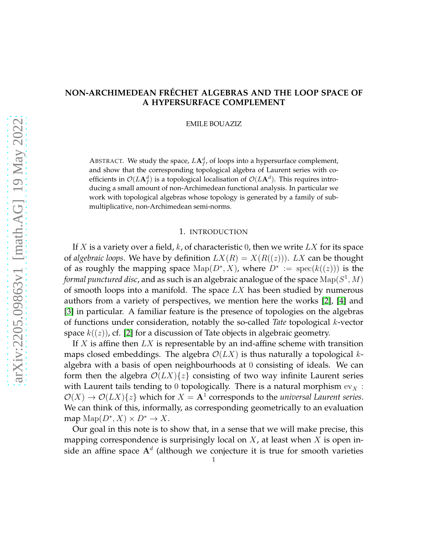## **NON-ARCHIMEDEAN FRÉCHET ALGEBRAS AND THE LOOP SPACE OF A HYPERSURFACE COMPLEMENT**

EMILE BOUAZIZ

ABSTRACT. We study the space,  $L\mathbf{A}_{f}^{d}$ , of loops into a hypersurface complement, and show that the corresponding topological algebra of Laurent series with coefficients in  $\mathcal{O}(L{\bf A}_f^d)$  is a topological localisation of  $\mathcal{O}(L{\bf A}^d)$ . This requires introducing a small amount of non-Archimedean functional analysis. In particular we work with topological algebras whose topology is generated by a family of submultiplicative, non-Archimedean semi-norms.

#### 1. INTRODUCTION

If X is a variety over a field, k, of characteristic 0, then we write LX for its space of *algebraic loops*. We have by definition  $LX(R) = X(R((z)))$ . LX can be thought of as roughly the mapping space  $\mathrm{Map}(D^*, X)$ , where  $D^* := \mathrm{spec}(k((z)))$  is the formal punctured disc, and as such is an algebraic analogue of the space  $\mathrm{Map}(S^1, M)$ of smooth loops into a manifold. The space  $LX$  has been studied by numerous authors from a variety of perspectives, we mention here the works [\[2\]](#page-6-0), [\[4\]](#page-6-1) and [\[3\]](#page-6-2) in particular. A familiar feature is the presence of topologies on the algebras of functions under consideration, notably the so-called *Tate* topological k-vector space  $k((z))$ , cf. [\[2\]](#page-6-0) for a discussion of Tate objects in algebraic geometry.

If X is affine then  $LX$  is representable by an ind-affine scheme with transition maps closed embeddings. The algebra  $\mathcal{O}(LX)$  is thus naturally a topological kalgebra with a basis of open neighbourhoods at 0 consisting of ideals. We can form then the algebra  $\mathcal{O}(LX)\{z\}$  consisting of two way infinite Laurent series with Laurent tails tending to 0 topologically. There is a natural morphism  $ev_X$ :  $\mathcal{O}(X) \to \mathcal{O}(LX)\{z\}$  which for  $X = \mathbf{A}^1$  corresponds to the *universal Laurent series*. We can think of this, informally, as corresponding geometrically to an evaluation map  $\text{Map}(D^*, X) \times D^* \to X$ .

Our goal in this note is to show that, in a sense that we will make precise, this mapping correspondence is surprisingly local on  $X$ , at least when  $X$  is open inside an affine space  $A^d$  (although we conjecture it is true for smooth varieties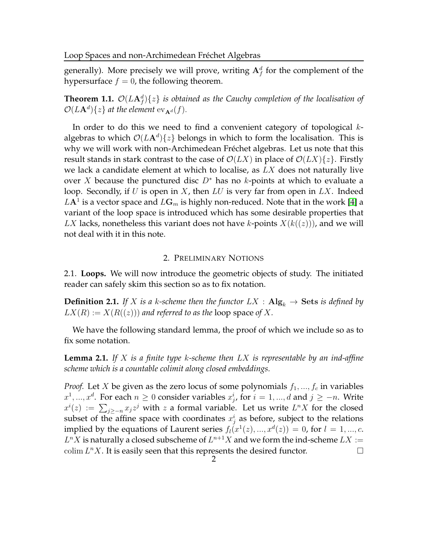generally). More precisely we will prove, writing  $A_f^d$  for the complement of the hypersurface  $f = 0$ , the following theorem.

**Theorem 1.1.**  $\mathcal{O}(L\mathbf{A}_{f}^{d})\{z\}$  is obtained as the Cauchy completion of the localisation of  $\mathcal{O}(L\mathbf{A}^d)\{z\}$  at the element  $ev_{\mathbf{A}^d}(f)$ .

In order to do this we need to find a convenient category of topological  $k$ algebras to which  $\mathcal{O}(L\mathbf{A}^d)\{z\}$  belongs in which to form the localisation. This is why we will work with non-Archimedean Fréchet algebras. Let us note that this result stands in stark contrast to the case of  $\mathcal{O}(LX)$  in place of  $\mathcal{O}(LX)\{z\}$ . Firstly we lack a candidate element at which to localise, as  $LX$  does not naturally live over X because the punctured disc  $D^*$  has no k-points at which to evaluate a loop. Secondly, if U is open in  $X$ , then  $LU$  is very far from open in  $LX$ . Indeed  $L\mathbf{A}^1$  is a vector space and  $L\mathbf{G}_m$  is highly non-reduced. Note that in the work [\[4\]](#page-6-1) a variant of the loop space is introduced which has some desirable properties that LX lacks, nonetheless this variant does not have k-points  $X(k((z)))$ , and we will not deal with it in this note.

### 2. PRELIMINARY NOTIONS

2.1. **Loops.** We will now introduce the geometric objects of study. The initiated reader can safely skim this section so as to fix notation.

**Definition 2.1.** If X is a k-scheme then the functor  $LX$  :  $\mathbf{Alg}_k \to \mathbf{Sets}$  is defined by  $LX(R) := X(R((z)))$  and referred to as the loop space of X.

We have the following standard lemma, the proof of which we include so as to fix some notation.

**Lemma 2.1.** *If* X *is a finite type* k*-scheme then* LX *is representable by an ind-affine scheme which is a countable colimit along closed embeddings.*

*Proof.* Let X be given as the zero locus of some polynomials  $f_1, ..., f_c$  in variables  $x^1, ..., x^d$ . For each  $n \geq 0$  consider variables  $x_j^i$ , for  $i = 1, ..., d$  and  $j \geq -n$ . Write  $x^{i}(z) := \sum_{j \geq -n} x_{j} z^{j}$  with z a formal variable. Let us write  $L^{n}X$  for the closed subset of the affine space with coordinates  $x_j^i$  as before, subject to the relations implied by the equations of Laurent series  $f_l(x^1(z),...,x^d(z)) = 0$ , for  $l = 1,...,c$ .  $L^n X$  is naturally a closed subscheme of  $L^{n+1} X$  and we form the ind-scheme  $L X :=$ colim  $L^n X$ . It is easily seen that this represents the desired functor.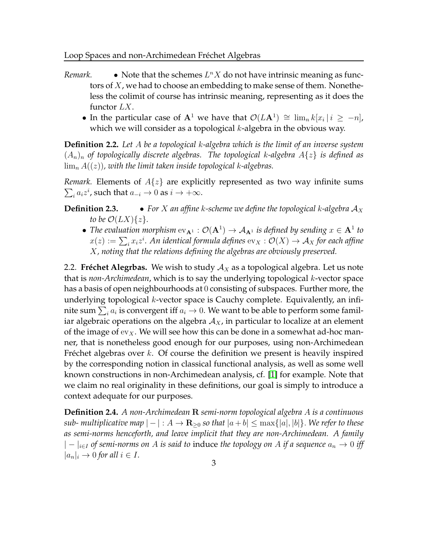- *Remark.* Note that the schemes  $L^n X$  do not have intrinsic meaning as functors of  $X$ , we had to choose an embedding to make sense of them. Nonetheless the colimit of course has intrinsic meaning, representing as it does the functor LX.
	- In the particular case of  $A^1$  we have that  $\mathcal{O}(LA^1) \cong \lim_n k[x_i \mid i \geq -n]$ , which we will consider as a topological  $k$ -algebra in the obvious way.

**Definition 2.2.** *Let* A *be a topological* k*-algebra which is the limit of an inverse system*  $(A_n)_n$  *of topologically discrete algebras. The topological k-algebra*  $A\{z\}$  *is defined as*  $\lim_{n} A((z))$ , with the limit taken inside topological k-algebras.

*Remark.* Elements of  $A\{z\}$  are explicitly represented as two way infinite sums  $\sum_i a_i z^i$ , such that  $a_{-i} \to 0$  as  $i \to +\infty$ .

# **Definition 2.3.** • For X an affine k-scheme we define the topological k-algebra  $A_X$ *to be*  $\mathcal{O}(LX)\{z\}$ *.*

• The evaluation morphism  $ev_{A^1}: \mathcal{O}(A^1) \to \mathcal{A}_{A^1}$  is defined by sending  $x \in A^1$  to  $x(z):=\sum_ix_iz^i.$  An identical formula defines  ${\rm ev}_X:\mathcal{O}(X)\to \mathcal{A}_X$  for each affine X*, noting that the relations defining the algebras are obviously preserved.*

2.2. **Fréchet Alegrbas.** We wish to study  $A_X$  as a topological algebra. Let us note that is *non-Archimedean*, which is to say the underlying topological k-vector space has a basis of open neighbourhoods at 0 consisting of subspaces. Further more, the underlying topological  $k$ -vector space is Cauchy complete. Equivalently, an infinite sum  $\sum_i a_i$  is convergent iff  $a_i\rightarrow 0.$  We want to be able to perform some familiar algebraic operations on the algebra  $A_X$ , in particular to localize at an element of the image of  $ev_x$ . We will see how this can be done in a somewhat ad-hoc manner, that is nonetheless good enough for our purposes, using non-Archimedean Fréchet algebras over  $k$ . Of course the definition we present is heavily inspired by the corresponding notion in classical functional analysis, as well as some well known constructions in non-Archimedean analysis, cf. [\[1\]](#page-6-3) for example. Note that we claim no real originality in these definitions, our goal is simply to introduce a context adequate for our purposes.

**Definition 2.4.** *A non-Archimedean* R *semi-norm topological algebra* A *is a continuous sub-* multiplicative map  $|-|: A \rightarrow \mathbf{R}_{\geq 0}$  so that  $|a + b| \leq \max\{|a|, |b|\}$ . We refer to these *as semi-norms henceforth, and leave implicit that they are non-Archimedean. A family*  $| - |_{i \in I}$  of semi-norms on A is said to induce the topology on A if a sequence  $a_n \to 0$  iff  $|a_n|_i \to 0$  *for all*  $i \in I$ .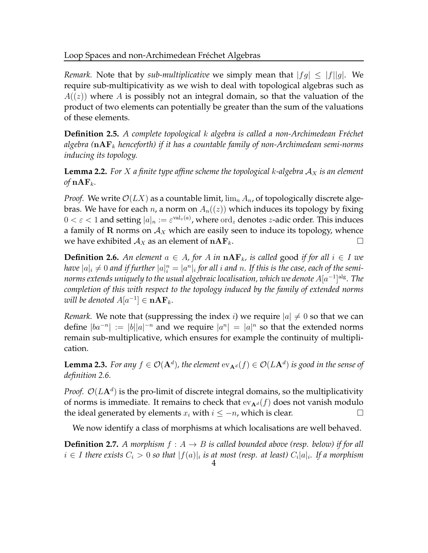*Remark.* Note that by *sub-multiplicative* we simply mean that  $|fg| \leq |f||g|$ . We require sub-multipicativity as we wish to deal with topological algebras such as  $A((z))$  where A is possibly not an integral domain, so that the valuation of the product of two elements can potentially be greater than the sum of the valuations of these elements.

**Definition 2.5.** *A complete topological* k *algebra is called a non-Archimedean Fréchet* algebra ( $nAF_k$  *henceforth) if it has a countable family of non-Archimedean semi-norms inducing its topology.*

**Lemma 2.2.** For X a finite type affine scheme the topological k-algebra  $A_X$  is an element *of*  $nAF_k$ .

*Proof.* We write  $\mathcal{O}(LX)$  as a countable limit,  $\lim_{n} A_n$ , of topologically discrete algebras. We have for each *n*, a norm on  $A_n((z))$  which induces its topology by fixing  $0<\varepsilon< 1$  and setting  $|a|_n:=\varepsilon^{\mathrm{val}_z(a)}$ , where  $\mathrm{ord}_z$  denotes  $z$ -adic order. This induces a family of R norms on  $A_X$  which are easily seen to induce its topology, whence we have exhibited  $\mathcal{A}_X$  as an element of  $nAF_k$ .

**Definition 2.6.** An element  $a \in A$ , for A in  $nAF_k$ , is called good if for all  $i \in I$  we *have*  $|a|_i \neq 0$  and if further  $|a|^n_i = |a^n|_i$  for all  $i$  and  $n$ . If this is the case, each of the seminorms extends uniquely to the usual algebraic localisation, which we denote  $A[a^{-1}]^{\rm alg}.$  The *completion of this with respect to the topology induced by the family of extended norms will be denoted*  $A[a^{-1}] \in \mathbf{nAF}_k$ *.* 

*Remark.* We note that (suppressing the index *i*) we require  $|a| \neq 0$  so that we can define  $|ba^{-n}| := |b||a|^{-n}$  and we require  $|a^n| = |a|^n$  so that the extended norms remain sub-multiplicative, which ensures for example the continuity of multiplication.

**Lemma 2.3.** *For any*  $f \in \mathcal{O}(\mathbf{A}^d)$ , the element  $ev_{\mathbf{A}^d}(f) \in \mathcal{O}(L\mathbf{A}^d)$  is good in the sense of *definition 2.6.*

*Proof.*  $\mathcal{O}(L\mathbf{A}^d)$  is the pro-limit of discrete integral domains, so the multiplicativity of norms is immediate. It remains to check that  $ev_{A<sup>d</sup>}(f)$  does not vanish modulo the ideal generated by elements  $x_i$  with  $i \leq -n$ , which is clear.

We now identify a class of morphisms at which localisations are well behaved.

**Definition 2.7.** *A morphism*  $f : A \rightarrow B$  *is called bounded above (resp. below) if for all*  $i \in I$  there exists  $C_i > 0$  so that  $|f(a)|_i$  is at most (resp. at least)  $C_i|a|_i$ . If a morphism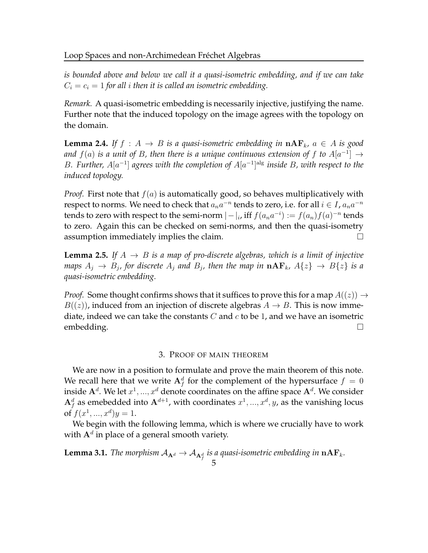*is bounded above and below we call it a quasi-isometric embedding, and if we can take*  $C_i = c_i = 1$  for all *i* then it is called an isometric embedding.

*Remark.* A quasi-isometric embedding is necessarily injective, justifying the name. Further note that the induced topology on the image agrees with the topology on the domain.

**Lemma 2.4.** If  $f : A \rightarrow B$  is a quasi-isometric embedding in  $\mathbf{A} \mathbf{F}_k$ ,  $a \in A$  is good and  $f(a)$  is a unit of B, then there is a unique continuous extension of  $f$  to  $A[a^{-1}] \rightarrow$ B. Further,  $A[a^{-1}]$  agrees with the completion of  $A[a^{-1}]^{\text{alg}}$  inside B, with respect to the *induced topology.*

*Proof.* First note that  $f(a)$  is automatically good, so behaves multiplicatively with respect to norms. We need to check that  $a_n a^{-n}$  tends to zero, i.e. for all  $i \in I$ ,  $a_n a^{-n}$ tends to zero with respect to the semi-norm  $|-|_i$ , iff  $f(a_na^{-i}) := f(a_n)f(a)^{-n}$  tends to zero. Again this can be checked on semi-norms, and then the quasi-isometry assumption immediately implies the claim.

**Lemma 2.5.** If  $A \rightarrow B$  *is a map of pro-discrete algebras, which is a limit of injective maps*  $A_j \to B_j$ , for discrete  $A_j$  and  $B_j$ , then the map in  $\mathbf{nAF}_k$ ,  $A\{z\} \to B\{z\}$  is a *quasi-isometric embedding.*

*Proof.* Some thought confirms shows that it suffices to prove this for a map  $A((z)) \rightarrow$  $B((z))$ , induced from an injection of discrete algebras  $A \rightarrow B$ . This is now immediate, indeed we can take the constants  $C$  and  $c$  to be 1, and we have an isometric embedding.  $\Box$ 

### 3. PROOF OF MAIN THEOREM

We are now in a position to formulate and prove the main theorem of this note. We recall here that we write  $A_f^d$  for the complement of the hypersurface  $f = 0$ inside  $\mathbf{A}^d.$  We let  $x^1,...,x^d$  denote coordinates on the affine space  $\mathbf{A}^d.$  We consider  $\mathbf{A}_f^d$  as emebedded into  $\mathbf{A}^{d+1}$ , with coordinates  $x^1,...,x^d,y$ , as the vanishing locus of  $f(x^1, ..., x^d)y = 1$ .

We begin with the following lemma, which is where we crucially have to work with  $A^d$  in place of a general smooth variety.

**Lemma 3.1.** *The morphism*  $\mathcal{A}_{\mathbf{A}^d} \to \mathcal{A}_{\mathbf{A}^d_f}$  *is a quasi-isometric embedding in*  $\mathbf{nAF}_k$ *.*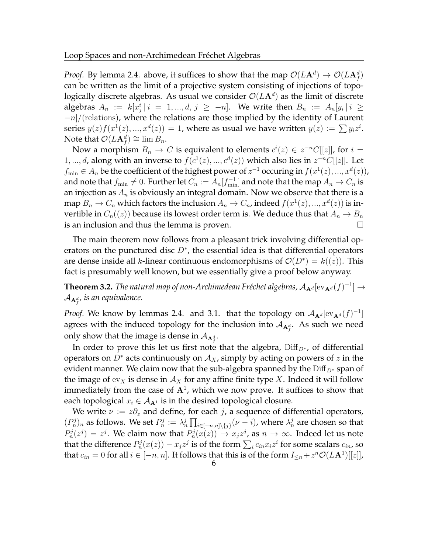*Proof.* By lemma 2.4. above, it suffices to show that the map  $\mathcal{O}(L{\bf A}^d)\rightarrow \mathcal{O}(L{\bf A}_f^d)$ can be written as the limit of a projective system consisting of injections of topologically discrete algebras. As usual we consider  $\mathcal{O}(L{\bf A}^d)$  as the limit of discrete algebras  $A_n := k[x_j^i | i = 1, ..., d, j \ge -n]$ . We write then  $B_n := A_n[y_i | i \ge$  $-n$ /(relations), where the relations are those implied by the identity of Laurent series  $y(z)f(x^1(z),...,x^d(z)) = 1$ , where as usual we have written  $y(z) := \sum y_i z^i$ . Note that  $\mathcal{O}(L\mathbf{A}_{f}^{d}) \cong \lim B_{n}$ .

Now a morphism  $B_n \to C$  is equivalent to elements  $c^i(z) \in z^{-n}C[[z]]$ , for  $i =$ 1, ..., *d*, along with an inverse to  $f(c^1(z), ..., c^d(z))$  which also lies in  $z^{-n}C[[z]]$ . Let  $f_{\min} \in A_n$  be the coefficient of the highest power of  $z^{-1}$  occuring in  $f(x^1(z),...,x^d(z)),$ and note that  $f_{\min}\neq 0.$  Further let  $C_n:=A_n[f^{-1}_{\min}]$  and note that the map  $A_n\to C_n$  is an injection as  $A_n$  is obviously an integral domain. Now we observe that there is a map  $B_n \to C_n$  which factors the inclusion  $A_n \to C_n$ , indeed  $f(x^1(z),...,x^d(z))$  is invertible in  $C_n((z))$  because its lowest order term is. We deduce thus that  $A_n \to B_n$ is an inclusion and thus the lemma is proven.

The main theorem now follows from a pleasant trick involving differential operators on the punctured disc  $D^*$ , the essential idea is that differential operators are dense inside all k-linear continuous endomorphisms of  $\mathcal{O}(D^*) = k((z))$ . This fact is presumably well known, but we essentially give a proof below anyway.

**Theorem 3.2.** *The natural map of non-Archimedean Fréchet algebras,*  $\mathcal{A}_{\mathbf{A}^d}[\text{ev}_{\mathbf{A}^d}(f)^{-1}] \rightarrow$  $\mathcal{A}_{\mathbf{A}_f^d}$ , is an equivalence.

*Proof.* We know by lemmas 2.4. and 3.1. that the topology on  $A_{A_d}[ev_{A_d}(f)^{-1}]$ agrees with the induced topology for the inclusion into  $\mathcal{A}_{\mathbf{A}^d_f}.$  As such we need only show that the image is dense in  $\mathcal{A}_{\mathbf{A}_f^d}$ .

In order to prove this let us first note that the algebra,  $\text{Diff}_{D^*}$ , of differential operators on  $D^*$  acts continuously on  $A_X$ , simply by acting on powers of z in the evident manner. We claim now that the sub-algebra spanned by the Diff<sub>D<sup>∗</sub></sup> span of</sub> the image of  $ev_X$  is dense in  $A_X$  for any affine finite type X. Indeed it will follow immediately from the case of  $A^1$ , which we now prove. It suffices to show that each topological  $x_i \in A_{A^1}$  is in the desired topological closure.

We write  $\nu := z \partial_z$  and define, for each j, a sequence of differential operators,  $(P_n^j)_n$  as follows. We set  $P_n^j := \lambda_n^j \prod_{i \in [-n,n] \setminus \{j\}} (\nu - i)$ , where  $\lambda_n^j$  are chosen so that  $P_n^j(z^j) = z^j$ . We claim now that  $P_n^j(x(z)) \to x_j z^j$ , as  $n \to \infty$ . Indeed let us note that the difference  $P_n^j(x(z)) - x_j z^j$  is of the form  $\sum_i c_{in} x_i z^i$  for some scalars  $c_{in}$ , so that  $c_{in} = 0$  for all  $i \in [-n, n]$ . It follows that this is of the form  $I_{\leq n} + z^n \mathcal{O}(L\mathbf{A}^1)[[z]]$ ,